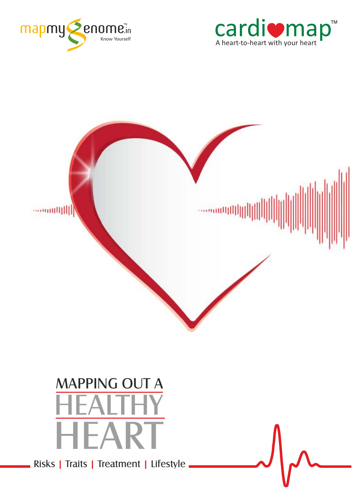





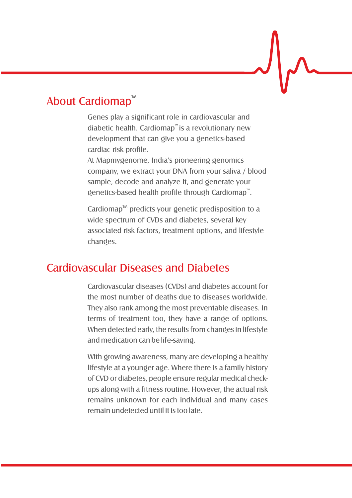## About Cardioman™

Genes play a significant role in cardiovascular and diabetic health. Cardiomap" is a revolutionary new development that can give you a genetics-based cardiac risk profile.

At Mapmygenome, India's pioneering genomics company, we extract your DNA from your saliva / blood sample, decode and analyze it, and generate your genetics-based health profile through Cardiomap".

 $Cardiomao<sup>m</sup>$  predicts your genetic predisposition to a wide spectrum of CVDs and diabetes, several key associated risk factors, treatment options, and lifestyle changes.

## Cardiovascular Diseases and Diabetes

Cardiovascular diseases (CVDs) and diabetes account for the most number of deaths due to diseases worldwide. They also rank among the most preventable diseases. In terms of treatment too, they have a range of options. When detected early, the results from changes in lifestyle and medication can be life-saving.

With growing awareness, many are developing a healthy lifestyle at a younger age. Where there is a family history of CVD or diabetes, people ensure regular medical checkups along with a fitness routine. However, the actual risk remains unknown for each individual and many cases remain undetected until it is too late.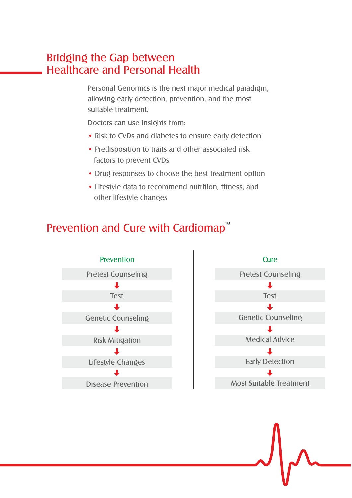### Bridging the Gap between Healthcare and Personal Health

Personal Genomics is the next major medical paradigm, allowing early detection, prevention, and the most suitable treatment.

Doctors can use insights from:

- Risk to CVDs and diabetes to ensure early detection
- Predisposition to traits and other associated risk factors to prevent CVDs
- Drug responses to choose the best treatment option
- Lifestyle data to recommend nutrition, fitness, and other lifestyle changes

### Prevention and Cure with Cardiomap™



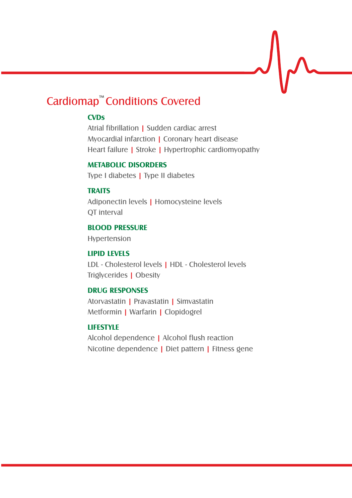## Cardiomap<sup>™</sup> Conditions Covered

### **CVDs**

Atrial fibrillation | Sudden cardiac arrest Myocardial infarction | Coronary heart disease Heart failure | Stroke | Hypertrophic cardiomyopathy

#### **METABOLIC DISORDERS**

Type I diabetes | Type II diabetes

#### **TRAITS**

Adiponectin levels | Homocysteine levels QT interval

#### **BLOOD PRESSURE**

Hypertension

#### **LIPID LEVELS**

LDL - Cholesterol levels | HDL - Cholesterol levels Triølvcerides | Obesity

#### **DRUG RESPONSES**

Atorvastatin | Pravastatin | Simvastatin Metformin | Warfarin | Clopidogrel

#### **LIFESTYLE**

Alcohol dependence | Alcohol flush reaction Nicotine dependence | Diet pattern | Fitness gene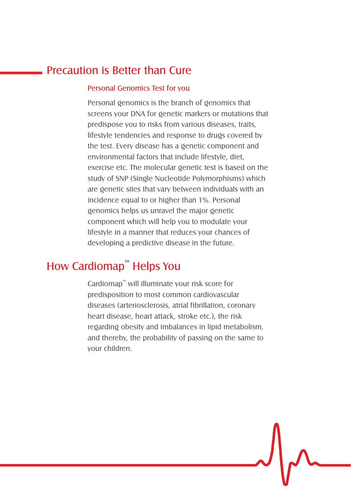### Precaution is Better than Cure

#### Personal Genomics Test for you

Personal genomics is the branch of genomics that screens your DNA for denetic markers or mutations that predispose you to risks from various diseases, traits, lifestyle tendencies and response to drugs covered by the test. Every disease has a genetic component and environmental factors that include lifestyle, diet, exercise etc. The molecular genetic test is based on the study of SNP (Single Nucleotide Polymorphisms) which are genetic sites that vary between individuals with an incidence equal to or higher than 1%. Personal genomics helps us unravel the major genetic component which will help you to modulate your lifestyle in a manner that reduces your chances of developing a predictive disease in the future.

## How Cardiomap<sup>™</sup> Helps You

Cardiomap" will illuminate your risk score for predisposition to most common cardiovascular diseases (arteriosclerosis, atrial fibrillation, coronary heart disease, heart attack, stroke etc.), the risk regarding obesity and imbalances in lipid metabolism, and thereby, the probability of passing on the same to your children.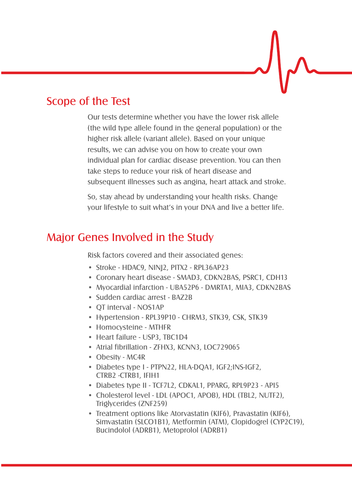### Scope of the Test

Our tests determine whether you have the lower risk allele (the wild type allele found in the general population) or the higher risk allele (variant allele). Based on your unique results, we can advise you on how to create your own individual plan for cardiac disease prevention. You can then take steps to reduce your risk of heart disease and subsequent illnesses such as angina, heart attack and stroke.

So, stay ahead by understanding your health risks. Change your lifestyle to suit what's in your DNA and live a better life.

### Major Genes Involved in the Study

Risk factors covered and their associated genes:

- Stroke HDAC9, NINJ2, PITX2 RPL36AP23
- Coronary heart disease SMAD3, CDKN2BAS, PSRC1, CDH13
- Myocardial infarction UBA52P6 DMRTA1, MIA3, CDKN2BAS
- Sudden cardiac arrest BAZ2B
- QT interval NOS1AP
- Hypertension RPL39P10 CHRM3, STK39, CSK, STK39
- Homocysteine MTHFR
- Heart failure USP3, TBC1D4
- Atrial fibrillation ZFHX3, KCNN3, LOC729065
- Obesity MC4R
- Diabetes type I PTPN22, HLA-DQA1, IGF2;INS-IGF2, CTRB2 -CTRB1, IFIH1
- Diabetes type II TCF7L2, CDKAL1, PPARG, RPL9P23 API5
- Cholesterol level LDL (APOC1, APOB), HDL (TBL2, NUTF2), Triglycerides (ZNF259)
- Treatment options like Atorvastatin (KIF6), Pravastatin (KIF6), Simvastatin (SLCO1B1), Metformin (ATM), Clopidogrel (CYP2C19), Bucindolol (ADRB1), Metoprolol (ADRB1)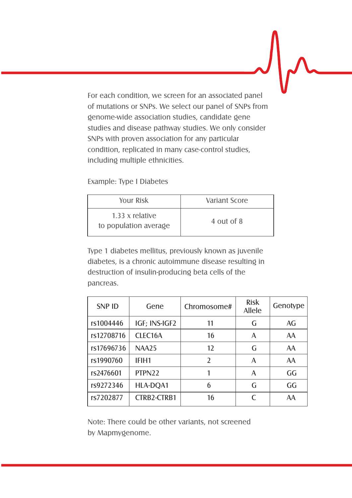For each condition, we screen for an associated panel of mutations or SNPs. We select our panel of SNPs from genome-wide association studies, candidate gene studies and disease pathway studies. We only consider SNPs with proven association for any particular condition, replicated in many case-control studies, including multiple ethnicities.

Example: Type I Diabetes

| YOUT Risk                                | Variant Score |  |
|------------------------------------------|---------------|--|
| 1.33 x relative<br>to population average | 4 out of 8    |  |

Type 1 diabetes mellitus, previously known as juvenile diabetes, is a chronic autoimmune disease resulting in destruction of insulin-producing beta cells of the pancreas.

| SNP ID     | Gene               | Chromosome#  | Risk<br>Allele | Genotype |
|------------|--------------------|--------------|----------------|----------|
| rs1004446  | IGF; INS-IGF2      | 11           | G              | AG       |
| rs12708716 | CLEC16A            | 16           | A              | AA       |
| rs17696736 | <b>NAA25</b>       | $12^{12}$    | G              | AA       |
| rs1990760  | IFIH1              | <sup>2</sup> | A              | AA       |
| rs2476601  | PTPN <sub>22</sub> |              | $\overline{A}$ | GG       |
| rs9272346  | HLA-DOA1           | 6            | G              | GG       |
| rs7202877  | CTRB2-CTRB1        | 16           | $\epsilon$     | AA       |

Note: There could be other variants, not screened by Mapmygenome.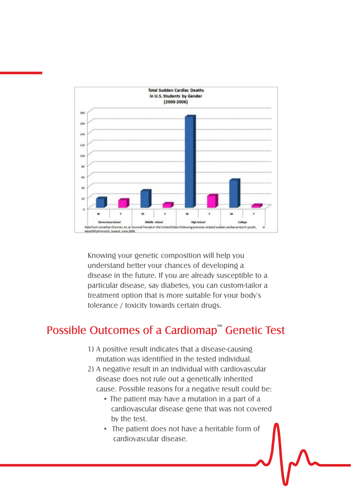

Knowing your genetic composition will help you understand better your chances of developing a disease in the future. If you are already susceptible to a particular disease, say diabetes, you can custom-tailor a treatment option that is more suitable for your body's tolerance / toxicity towards certain drugs.

## Possible Outcomes of a Cardiomap™ Genetic Test

- 1) A positive result indicates that a disease-causing mutation was identified in the tested individual.
- 2) A negative result in an individual with cardiovascular disease does not rule out a genetically inherited cause. Possible reasons for a negative result could be:
	- •The patient may have a mutation in a part of a cardiovascular disease gene that was not covered by the test.
	- The patient does not have a heritable form of cardiovascular disease.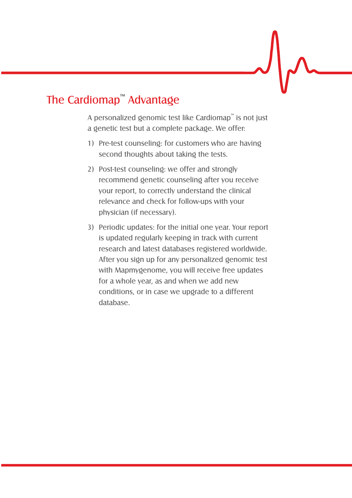# The Cardiomap™ Advantage

A personalized genomic test like Cardiomap" is not just a genetic test but a complete package. We offer:

- 1) Pre-test counseling: for customers who are having second thoughts about taking the tests.
- 2) Post-test counseling: we offer and strongly recommend genetic counseling after you receive your report, to correctly understand the clinical relevance and check for follow-ups with your physician (if necessary).
- 3) Periodic updates: for the initial one year. Your report is updated regularly keeping in track with current research and latest databases registered worldwide. After you sign up for any personalized genomic test with Mapmygenome, you will receive free updates for a whole year, as and when we add new conditions, or in case we upgrade to a different database.